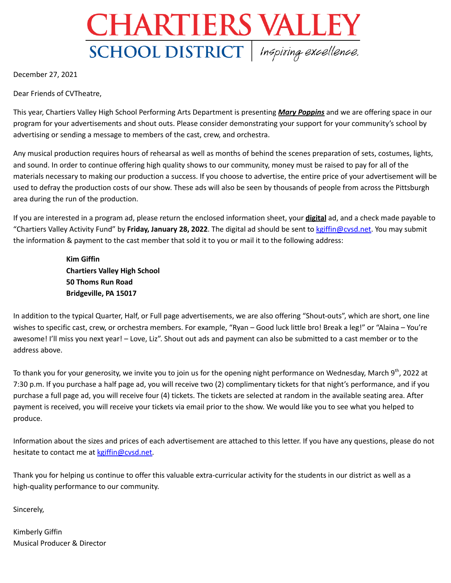# **CHARTIERS VALLEY** SCHOOL DISTRICT | Inspiring excellence.

December 27, 2021

Dear Friends of CVTheatre,

This year, Chartiers Valley High School Performing Arts Department is presenting *Mary Poppins* and we are offering space in our program for your advertisements and shout outs. Please consider demonstrating your support for your community's school by advertising or sending a message to members of the cast, crew, and orchestra.

Any musical production requires hours of rehearsal as well as months of behind the scenes preparation of sets, costumes, lights, and sound. In order to continue offering high quality shows to our community, money must be raised to pay for all of the materials necessary to making our production a success. If you choose to advertise, the entire price of your advertisement will be used to defray the production costs of our show. These ads will also be seen by thousands of people from across the Pittsburgh area during the run of the production.

If you are interested in a program ad, please return the enclosed information sheet, your **digital** ad, and a check made payable to "Chartiers Valley Activity Fund" by **Friday, January 28, 2022**. The digital ad should be sent to [kgiffin@cvsd.net](mailto:kgiffin@cvsd.net). You may submit the information & payment to the cast member that sold it to you or mail it to the following address:

> **Kim Giffin Chartiers Valley High School 50 Thoms Run Road Bridgeville, PA 15017**

In addition to the typical Quarter, Half, or Full page advertisements, we are also offering "Shout-outs", which are short, one line wishes to specific cast, crew, or orchestra members. For example, "Ryan – Good luck little bro! Break a leg!" or "Alaina – You're awesome! I'll miss you next year! – Love, Liz". Shout out ads and payment can also be submitted to a cast member or to the address above.

To thank you for your generosity, we invite you to join us for the opening night performance on Wednesday, March 9<sup>th</sup>, 2022 at 7:30 p.m. If you purchase a half page ad, you will receive two (2) complimentary tickets for that night's performance, and if you purchase a full page ad, you will receive four (4) tickets. The tickets are selected at random in the available seating area. After payment is received, you will receive your tickets via email prior to the show. We would like you to see what you helped to produce.

Information about the sizes and prices of each advertisement are attached to this letter. If you have any questions, please do not hesitate to contact me at [kgiffin@cvsd.net.](mailto:kgiffin@cvsd.net)

Thank you for helping us continue to offer this valuable extra-curricular activity for the students in our district as well as a high-quality performance to our community.

Sincerely,

Kimberly Giffin Musical Producer & Director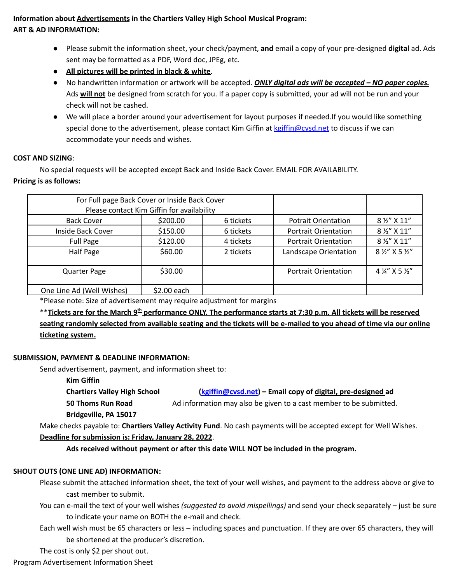## **Information about Advertisements in the Chartiers Valley High School Musical Program: ART & AD INFORMATION:**

- Please submit the information sheet, your check/payment, **and** email a copy of your pre-designed **digital** ad. Ads sent may be formatted as a PDF, Word doc, JPEg, etc.
- **All pictures will be printed in black & white**.
- No handwritten information or artwork will be accepted. *ONLY digital ads will be accepted – NO paper copies.* Ads **will not** be designed from scratch for you. If a paper copy is submitted, your ad will not be run and your check will not be cashed.
- We will place a border around your advertisement for layout purposes if needed.If you would like something special done to the advertisement, please contact Kim Giffin at kgiffin@cysd.net to discuss if we can accommodate your needs and wishes.

#### **COST AND SIZING**:

No special requests will be accepted except Back and Inside Back Cover. EMAIL FOR AVAILABILITY.

#### **Pricing is as follows:**

| For Full page Back Cover or Inside Back Cover<br>Please contact Kim Giffin for availability |             |           |                             |                                  |
|---------------------------------------------------------------------------------------------|-------------|-----------|-----------------------------|----------------------------------|
| <b>Back Cover</b>                                                                           | \$200.00    | 6 tickets | <b>Potrait Orientation</b>  | 8 1/2" X 11"                     |
| Inside Back Cover                                                                           | \$150.00    | 6 tickets | <b>Portrait Orientation</b> | 8 1/2" X 11"                     |
| Full Page                                                                                   | \$120.00    | 4 tickets | <b>Portrait Orientation</b> | 8 1/2" X 11"                     |
| Half Page                                                                                   | \$60.00     | 2 tickets | Landscape Orientation       | 8 1/2" X 5 1/2"                  |
| <b>Quarter Page</b>                                                                         | \$30.00     |           | <b>Portrait Orientation</b> | $4\frac{1}{4}$ X 5 $\frac{1}{2}$ |
| One Line Ad (Well Wishes)                                                                   | \$2.00 each |           |                             |                                  |

\*Please note: Size of advertisement may require adjustment for margins

\*\*Tickets are for the March 9<sup>th</sup> performance ONLY. The performance starts at 7:30 p.m. All tickets will be reserved seating randomly selected from available seating and the tickets will be e-mailed to you ahead of time via our online **ticketing system.**

#### **SUBMISSION, PAYMENT & DEADLINE INFORMATION:**

Send advertisement, payment, and information sheet to:

**Kim Giffin**

**Chartiers Valley High School [\(kgiffin@cvsd.net](mailto:kgiffin@cvsd.net)) – Email copy of digital, pre-designed ad**

**50 Thoms Run Road Ad information may also be given to a cast member to be submitted.** 

#### **Bridgeville, PA 15017**

Make checks payable to: **Chartiers Valley Activity Fund**. No cash payments will be accepted except for Well Wishes.

### **Deadline for submission is: Friday, January 28, 2022**.

**Ads received without payment or after this date WILL NOT be included in the program.**

# **SHOUT OUTS (ONE LINE AD) INFORMATION:**

- Please submit the attached information sheet, the text of your well wishes, and payment to the address above or give to cast member to submit.
- You can e-mail the text of your well wishes *(suggested to avoid mispellings)* and send your check separately just be sure to indicate your name on BOTH the e-mail and check.
- Each well wish must be 65 characters or less including spaces and punctuation. If they are over 65 characters, they will be shortened at the producer's discretion.

The cost is only \$2 per shout out.

Program Advertisement Information Sheet